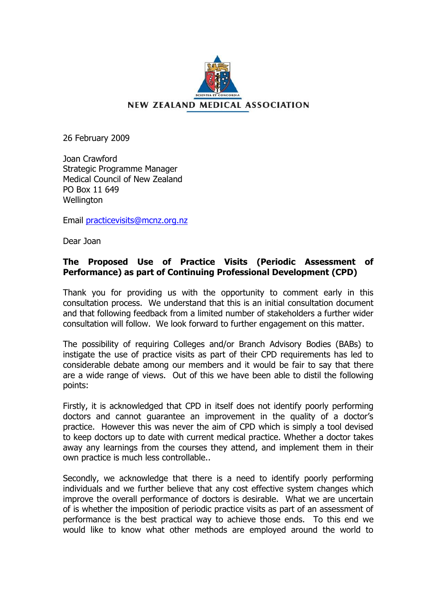

26 February 2009

Joan Crawford Strategic Programme Manager Medical Council of New Zealand PO Box 11 649 **Wellington** 

Email [practicevisits@mcnz.org.nz](mailto:practicevisits@mcnz.org.nz)

Dear Joan

## **The Proposed Use of Practice Visits (Periodic Assessment of Performance) as part of Continuing Professional Development (CPD)**

Thank you for providing us with the opportunity to comment early in this consultation process. We understand that this is an initial consultation document and that following feedback from a limited number of stakeholders a further wider consultation will follow. We look forward to further engagement on this matter.

The possibility of requiring Colleges and/or Branch Advisory Bodies (BABs) to instigate the use of practice visits as part of their CPD requirements has led to considerable debate among our members and it would be fair to say that there are a wide range of views. Out of this we have been able to distil the following points:

Firstly, it is acknowledged that CPD in itself does not identify poorly performing doctors and cannot guarantee an improvement in the quality of a doctor's practice. However this was never the aim of CPD which is simply a tool devised to keep doctors up to date with current medical practice. Whether a doctor takes away any learnings from the courses they attend, and implement them in their own practice is much less controllable..

Secondly, we acknowledge that there is a need to identify poorly performing individuals and we further believe that any cost effective system changes which improve the overall performance of doctors is desirable. What we are uncertain of is whether the imposition of periodic practice visits as part of an assessment of performance is the best practical way to achieve those ends. To this end we would like to know what other methods are employed around the world to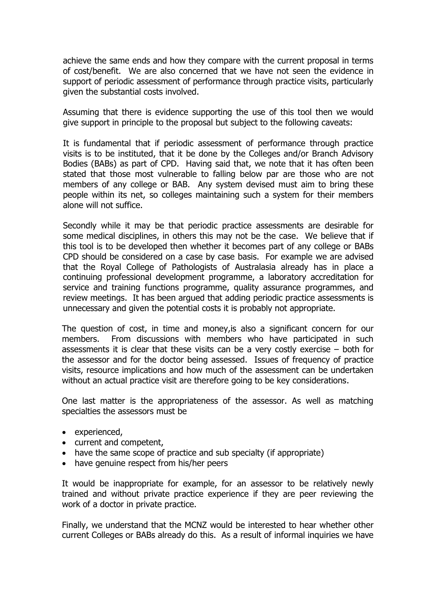achieve the same ends and how they compare with the current proposal in terms of cost/benefit. We are also concerned that we have not seen the evidence in support of periodic assessment of performance through practice visits, particularly given the substantial costs involved.

Assuming that there is evidence supporting the use of this tool then we would give support in principle to the proposal but subject to the following caveats:

It is fundamental that if periodic assessment of performance through practice visits is to be instituted, that it be done by the Colleges and/or Branch Advisory Bodies (BABs) as part of CPD. Having said that, we note that it has often been stated that those most vulnerable to falling below par are those who are not members of any college or BAB. Any system devised must aim to bring these people within its net, so colleges maintaining such a system for their members alone will not suffice.

Secondly while it may be that periodic practice assessments are desirable for some medical disciplines, in others this may not be the case. We believe that if this tool is to be developed then whether it becomes part of any college or BABs CPD should be considered on a case by case basis. For example we are advised that the Royal College of Pathologists of Australasia already has in place a continuing professional development programme, a laboratory accreditation for service and training functions programme, quality assurance programmes, and review meetings. It has been argued that adding periodic practice assessments is unnecessary and given the potential costs it is probably not appropriate.

The question of cost, in time and money,is also a significant concern for our members. From discussions with members who have participated in such assessments it is clear that these visits can be a very costly exercise – both for the assessor and for the doctor being assessed. Issues of frequency of practice visits, resource implications and how much of the assessment can be undertaken without an actual practice visit are therefore going to be key considerations.

One last matter is the appropriateness of the assessor. As well as matching specialties the assessors must be

- experienced,
- current and competent,
- have the same scope of practice and sub specialty (if appropriate)
- have genuine respect from his/her peers

It would be inappropriate for example, for an assessor to be relatively newly trained and without private practice experience if they are peer reviewing the work of a doctor in private practice.

Finally, we understand that the MCNZ would be interested to hear whether other current Colleges or BABs already do this. As a result of informal inquiries we have